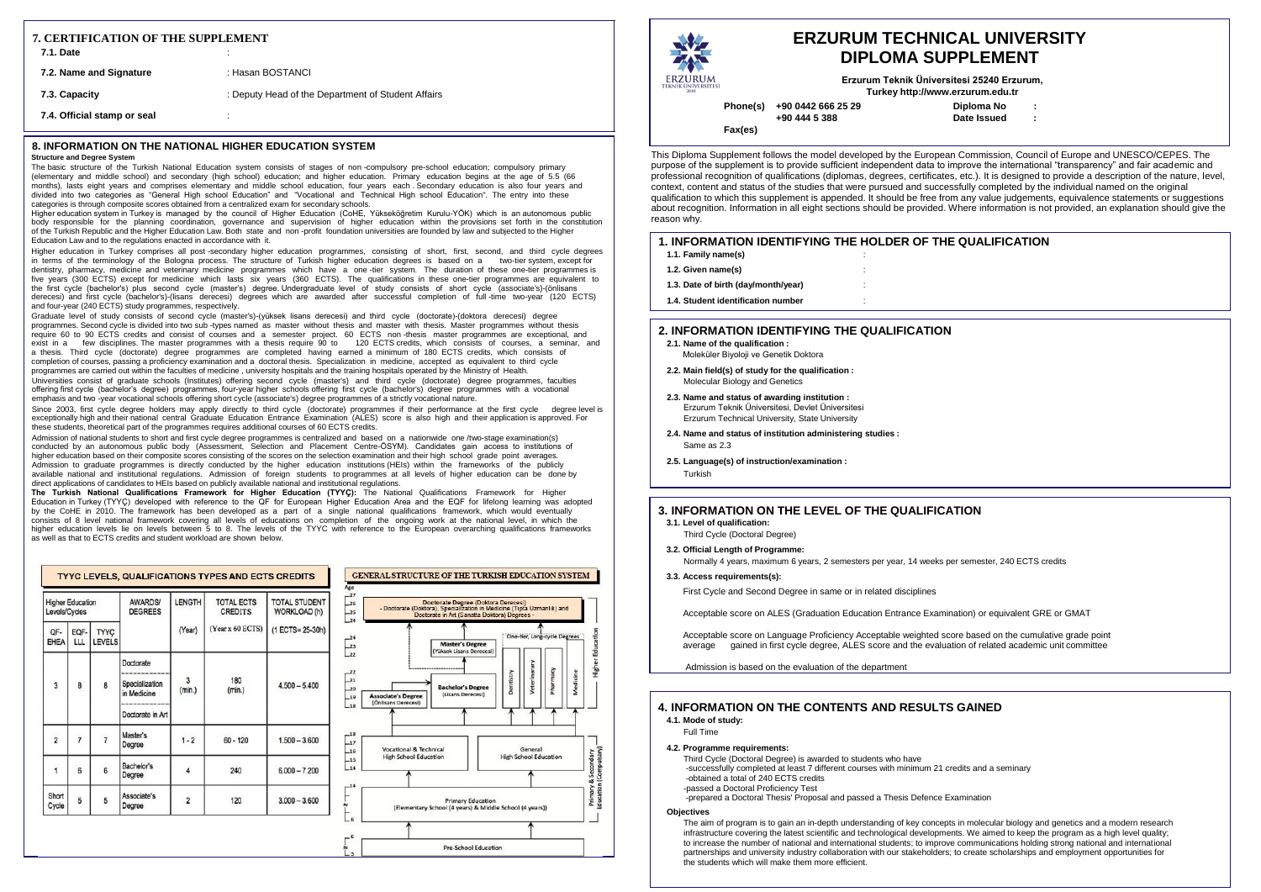**: : Diploma No Date Issued**

## **1E QUALIFICATION**

**Phone(s) +90 0442 666 25 29 +90 444 5 388**

**Fax(es)**

# **ERZURUM TECHNICAL UNIVERSITY DIPLOMA SUPPLEMENT**

**Erzurum Teknik Üniversitesi 25240 Erzurum, Turke[y http://www.erzurum.edu.tr](http://www.erzurum.edu.tr/)**

### **8. INFORMATION ON THE NATIONAL HIGHER EDUCATION SYSTEM**

### **Structure and Degree System**

The basic structure of the Turkish National Education system consists of stages of non -compulsory pre-school education; compulsory primary (elementary and middle school) and secondary (high school) education; and higher education. Primary education begins at the age of 5.5 (66 months), lasts eight years and comprises elementary and middle school education, four years each . Secondary education is also four years and divided into two categories as "General High school Education" and "Vocational and Technical High school Education". The entry into these categories is through composite scores obtained from a centralized exam for secondary schools.

Higher education system in Turkey is managed by the council of Higher Education (CoHE, Yükseköğretim Kurulu-YÖK) which is an autonomous public body responsible for the planning coordination, governance and supervision of higher education within the provisions set forth in the constitution of the Turkish Republic and the Higher Education Law. Both state and non -profit foundation universities are founded by law and subjected to the Higher Education Law and to the regulations enacted in accordance with it.

Higher education in Turkey comprises all post -secondary higher education programmes, consisting of short, first, second, and third cycle degrees in terms of the terminology of the Bologna process. The structure of Turkish higher education degrees is based on a two-tier system, except for dentistry, pharmacy, medicine and veterinary medicine programmes which have a one -tier system. The duration of these one-tier programmes is five years (300 ECTS) except for medicine which lasts six years (360 ECTS). The qualifications in these one-tier programmes are equivalent to the first cycle (bachelor's) plus second cycle (master's) degree. Undergraduate level of study consists of short cycle (associate's)-(önlisans derecesi) and first cycle (bachelor's)-(lisans derecesi) degrees which are awarded after successful completion of full -time two-year (120 ECTS) and four-year (240 ECTS) study programmes, respectively.

Graduate level of study consists of second cycle (master's)-(yüksek lisans derecesi) and third cycle (doctorate)-(doktora derecesi) degree programmes. Second cycle is divided into two sub -types named as master without thesis and master with thesis. Master programmes without thesis require 60 to 90 ECTS credits and consist of courses and a semester project. 60 ECTS non -thesis master programmes are exceptional, and exist in a few disciplines. The master programmes with a thesis require 90 to 120 ECTS credits, which consists of courses, a seminar, and a thesis. Third cycle (doctorate) degree programmes are completed having earned a minimum of 180 ECTS credits, which consists of completion of courses, passing a proficiency examination and a doctoral thesis. Specialization in medicine, accepted as equivalent to third cycle programmes are carried out within the faculties of medicine, university hospitals and the training hospitals operated by the Ministry of Health. Universities consist of graduate schools (Institutes) offering second cycle (master's) and third cycle (doctorate) degree programmes, faculties offering first cycle (bachelor's degree) programmes, four-year higher schools offering first cycle (bachelor's) degree programmes with a vocational emphasis and two -year vocational schools offering short cycle (associate's) degree programmes of a strictly vocational nature.

Since 2003, first cycle degree holders may apply directly to third cycle (doctorate) programmes if their performance at the first cycle degree level is exceptionally high and their national central Graduate Education Entrance Examination (ALES) score is also high and their application is approved. For these students, theoretical part of the programmes requires additional courses of 60 ECTS credits.

> Acceptable score on Language Proficiency Acceptable weighted score based on the cumulative grade point average gained in first cycle degree, ALES score and the evaluation of related academic unit committee

Admission of national students to short and first cycle degree programmes is centralized and based on a nationwide one /two-stage examination(s) conducted by an autonomous public body (Assessment, Selection and Placement Centre-ÖSYM). Candidates gain access to institutions of higher education based on their composite scores consisting of the scores on the selection examination and their high school grade point averages. Admission to graduate programmes is directly conducted by the higher education institutions (HEIs) within the frameworks of the publicly available national and institutional regulations. Admission of foreign students to programmes at all levels of higher education can be done by direct applications of candidates to HEIs based on publicly available national and institutional regulations.

**The Turkish National Qualifications Framework for Higher Education (TYYÇ):** The National Qualifications Framework for Higher Education in Turkey (TYYÇ) developed with reference to the QF for European Higher Education Area and the EQF for lifelong learning was adopted by the CoHE in 2010. The framework has been developed as a part of a single national qualifications framework, which would eventually consists of 8 level national framework covering all levels of educations on completion of the ongoing work at the national level, in which the higher education levels lie on levels between 5 to 8. The levels of the TYYC with reference to the European overarching qualifications frameworks as well as that to ECTS credits and student workload are shown below.

| <b>Higher Education</b><br>Levels/Cycles |                 | <b>AWARDS/</b><br><b>DEGREES</b> | LENGTH                                                         | <b>TOTAL ECTS</b><br><b>CREDITS</b> | <b>TOTAL STUDENT</b><br>WORKLOAD (h) |                  |
|------------------------------------------|-----------------|----------------------------------|----------------------------------------------------------------|-------------------------------------|--------------------------------------|------------------|
| OF-<br>EHEA                              | EQF-<br>LLL     | TYYÇ<br><b>LEVELS</b>            |                                                                | (Year)                              | (Year x 60 ECTS)                     | (1 ECTS= 25-30h) |
| 3                                        | 8               | 8                                | Doctorate<br>Specialization<br>in Medicine<br>Doctorate in Art | 3<br>(min.)                         | 180<br>(min.)                        | $4.500 - 5.400$  |
| $\overline{2}$                           | $\overline{7}$  | $\overline{7}$                   | Master's<br>Degree                                             | $1 - 2$                             | $60 - 120$                           | $1.500 - 3.600$  |
| $\overline{1}$                           | $6\overline{6}$ | 6                                | Bachelor's<br>Degree                                           | 4                                   | 240                                  | $6.000 - 7.200$  |
| Short<br>Cycle                           | 5               | 5                                | Associate's<br>Degree                                          | $\overline{2}$                      | 120                                  | $3,000 - 3,600$  |



|                                                      |          | <b>ERZI</b>  |
|------------------------------------------------------|----------|--------------|
| <b>ERZURUM</b><br><b>TEKNÍK ÜNÍVERSÍTESÍ</b><br>2010 |          |              |
|                                                      | Phone(s) | +90 0442 666 |

This Diploma Supplement follows the model developed by the European Commission, Council of Europe and UNESCO/CEPES. The purpose of the supplement is to provide sufficient independent data to improve the international "transparency" and fair academic and professional recognition of qualifications (diplomas, degrees, certificates, etc.). It is designed to provide a description of the nature, level, context, content and status of the studies that were pursued and successfully completed by the individual named on the original qualification to which this supplement is appended. It should be free from any value judgements, equivalence statements or suggestions about recognition. Information in all eight sections should be provided. Where information is not provided, an explanation should give the reason why.

| 7. CERTIFICATION OF THE SUPPLEMENT<br><b>7.1. Date</b><br>٠<br>$\cdot$ |                                                    |  |  |
|------------------------------------------------------------------------|----------------------------------------------------|--|--|
| 7.2. Name and Signature                                                | : Hasan BOSTANCI                                   |  |  |
| 7.3. Capacity                                                          | : Deputy Head of the Department of Student Affairs |  |  |
| 7.4. Official stamp or seal                                            |                                                    |  |  |

| <b>1. INFORMATION IDENTIFYING THE HOLDER OF TH</b> |  |
|----------------------------------------------------|--|
| 1.1. Family name(s)                                |  |
| 1.2. Given name(s)                                 |  |
| 1.3. Date of birth (day/month/year)                |  |
| 1.4. Student identification number                 |  |
|                                                    |  |

## **2. INFORMATION IDENTIFYING THE QUALIFICATION**

- **2.1. Name of the qualification :**
- Moleküler Biyoloji ve Genetik Doktora
- **2.2. Main field(s) of study for the qualification :** Molecular Biology and Genetics
- **2.3. Name and status of awarding institution :**  Erzurum Teknik Üniversitesi, Devlet Üniversitesi Erzurum Technical University, State University
- **2.4. Name and status of institution administering studies :** Same as 2.3
- **2.5. Language(s) of instruction/examination :** Turkish

## **4. INFORMATION ON THE CONTENTS AND RESULTS GAINED 4.1. Mode of study:**

Full Time

**4.2. Programme requirements:**

Third Cycle (Doctoral Degree) is awarded to students who have -successfully completed at least 7 different courses with minimum 21 credits and a seminary -obtained a total of 240 ECTS credits -passed a Doctoral Proficiency Test

-prepared a Doctoral Thesis' Proposal and passed a Thesis Defence Examination

**Objectives**

The aim of program is to gain an in-depth understanding of key concepts in molecular biology and genetics and a modern research infrastructure covering the latest scientific and technological developments. We aimed to keep the program as a high level quality; to increase the number of national and international students; to improve communications holding strong national and international partnerships and university industry collaboration with our stakeholders; to create scholarships and employment opportunities for the students which will make them more efficient.

## **3. INFORMATION ON THE LEVEL OF THE QUALIFICATION**

## **3.1. Level of qualification:**

- Third Cycle (Doctoral Degree)
- **3.2. Official Length of Programme:**

Normally 4 years, maximum 6 years, 2 semesters per year, 14 weeks per semester, 240 ECTS credits

**3.3. Access requirements(s):**

First Cycle and Second Degree in same or in related disciplines

Acceptable score on ALES (Graduation Education Entrance Examination) or equivalent GRE or GMAT

Admission is based on the evaluation of the department